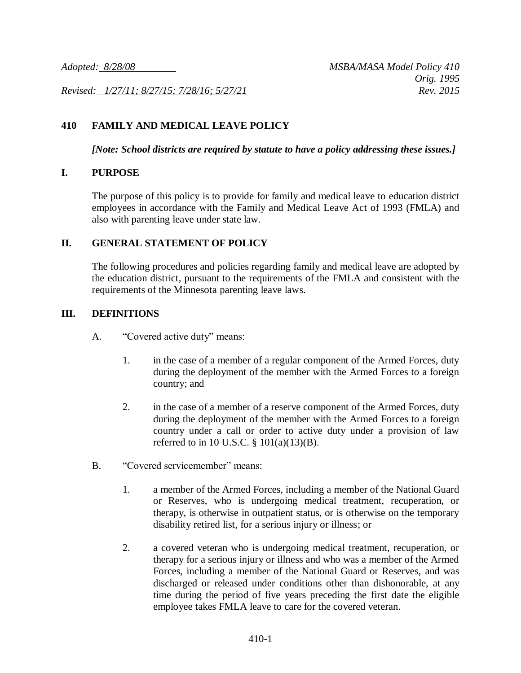*Revised: 1/27/11; 8/27/15; 7/28/16; 5/27/21 Rev. 2015*

# **410 FAMILY AND MEDICAL LEAVE POLICY**

*[Note: School districts are required by statute to have a policy addressing these issues.]*

#### **I. PURPOSE**

The purpose of this policy is to provide for family and medical leave to education district employees in accordance with the Family and Medical Leave Act of 1993 (FMLA) and also with parenting leave under state law.

#### **II. GENERAL STATEMENT OF POLICY**

The following procedures and policies regarding family and medical leave are adopted by the education district, pursuant to the requirements of the FMLA and consistent with the requirements of the Minnesota parenting leave laws.

#### **III. DEFINITIONS**

- A. "Covered active duty" means:
	- 1. in the case of a member of a regular component of the Armed Forces, duty during the deployment of the member with the Armed Forces to a foreign country; and
	- 2. in the case of a member of a reserve component of the Armed Forces, duty during the deployment of the member with the Armed Forces to a foreign country under a call or order to active duty under a provision of law referred to in 10 U.S.C.  $\S$  101(a)(13)(B).
- B. "Covered servicemember" means:
	- 1. a member of the Armed Forces, including a member of the National Guard or Reserves, who is undergoing medical treatment, recuperation, or therapy, is otherwise in outpatient status, or is otherwise on the temporary disability retired list, for a serious injury or illness; or
	- 2. a covered veteran who is undergoing medical treatment, recuperation, or therapy for a serious injury or illness and who was a member of the Armed Forces, including a member of the National Guard or Reserves, and was discharged or released under conditions other than dishonorable, at any time during the period of five years preceding the first date the eligible employee takes FMLA leave to care for the covered veteran.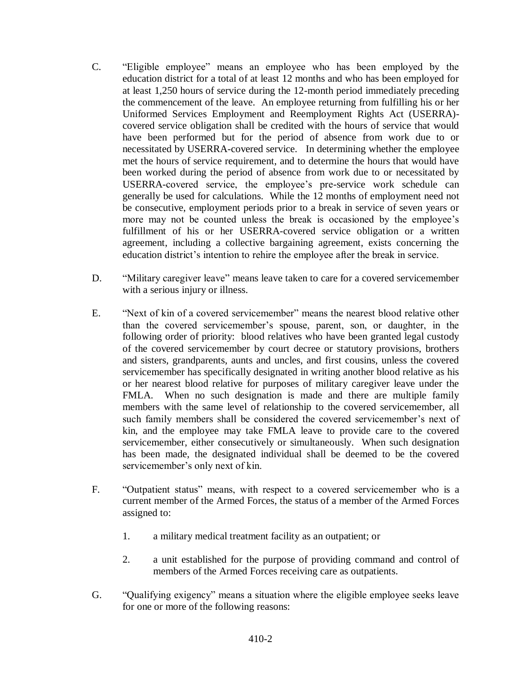- C. "Eligible employee" means an employee who has been employed by the education district for a total of at least 12 months and who has been employed for at least 1,250 hours of service during the 12-month period immediately preceding the commencement of the leave. An employee returning from fulfilling his or her Uniformed Services Employment and Reemployment Rights Act (USERRA) covered service obligation shall be credited with the hours of service that would have been performed but for the period of absence from work due to or necessitated by USERRA-covered service. In determining whether the employee met the hours of service requirement, and to determine the hours that would have been worked during the period of absence from work due to or necessitated by USERRA-covered service, the employee's pre-service work schedule can generally be used for calculations. While the 12 months of employment need not be consecutive, employment periods prior to a break in service of seven years or more may not be counted unless the break is occasioned by the employee's fulfillment of his or her USERRA-covered service obligation or a written agreement, including a collective bargaining agreement, exists concerning the education district's intention to rehire the employee after the break in service.
- D. "Military caregiver leave" means leave taken to care for a covered servicemember with a serious injury or illness.
- E. "Next of kin of a covered servicemember" means the nearest blood relative other than the covered servicemember's spouse, parent, son, or daughter, in the following order of priority: blood relatives who have been granted legal custody of the covered servicemember by court decree or statutory provisions, brothers and sisters, grandparents, aunts and uncles, and first cousins, unless the covered servicemember has specifically designated in writing another blood relative as his or her nearest blood relative for purposes of military caregiver leave under the FMLA. When no such designation is made and there are multiple family members with the same level of relationship to the covered servicemember, all such family members shall be considered the covered servicemember's next of kin, and the employee may take FMLA leave to provide care to the covered servicemember, either consecutively or simultaneously. When such designation has been made, the designated individual shall be deemed to be the covered servicemember's only next of kin.
- F. "Outpatient status" means, with respect to a covered servicemember who is a current member of the Armed Forces, the status of a member of the Armed Forces assigned to:
	- 1. a military medical treatment facility as an outpatient; or
	- 2. a unit established for the purpose of providing command and control of members of the Armed Forces receiving care as outpatients.
- G. "Qualifying exigency" means a situation where the eligible employee seeks leave for one or more of the following reasons: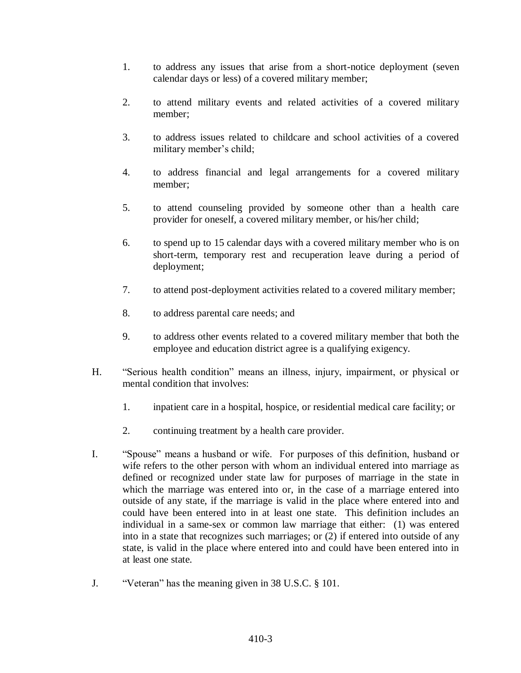- 1. to address any issues that arise from a short-notice deployment (seven calendar days or less) of a covered military member;
- 2. to attend military events and related activities of a covered military member;
- 3. to address issues related to childcare and school activities of a covered military member's child;
- 4. to address financial and legal arrangements for a covered military member;
- 5. to attend counseling provided by someone other than a health care provider for oneself, a covered military member, or his/her child;
- 6. to spend up to 15 calendar days with a covered military member who is on short-term, temporary rest and recuperation leave during a period of deployment;
- 7. to attend post-deployment activities related to a covered military member;
- 8. to address parental care needs; and
- 9. to address other events related to a covered military member that both the employee and education district agree is a qualifying exigency.
- H. "Serious health condition" means an illness, injury, impairment, or physical or mental condition that involves:
	- 1. inpatient care in a hospital, hospice, or residential medical care facility; or
	- 2. continuing treatment by a health care provider.
- I. "Spouse" means a husband or wife. For purposes of this definition, husband or wife refers to the other person with whom an individual entered into marriage as defined or recognized under state law for purposes of marriage in the state in which the marriage was entered into or, in the case of a marriage entered into outside of any state, if the marriage is valid in the place where entered into and could have been entered into in at least one state. This definition includes an individual in a same-sex or common law marriage that either: (1) was entered into in a state that recognizes such marriages; or (2) if entered into outside of any state, is valid in the place where entered into and could have been entered into in at least one state.
- J. "Veteran" has the meaning given in 38 U.S.C. § 101.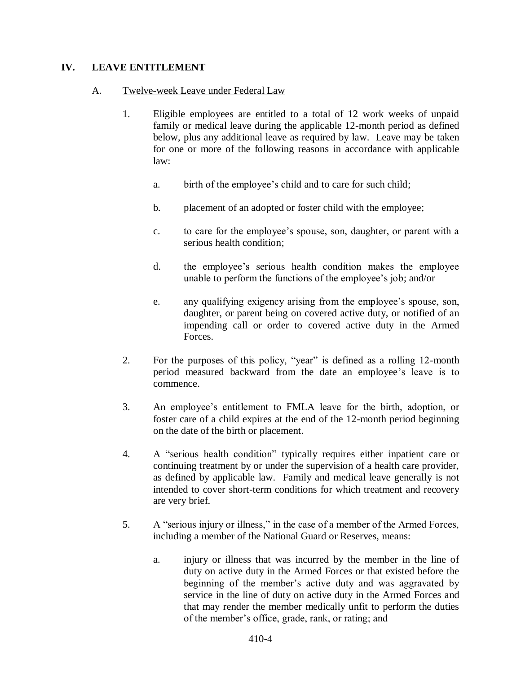# **IV. LEAVE ENTITLEMENT**

## A. Twelve-week Leave under Federal Law

- 1. Eligible employees are entitled to a total of 12 work weeks of unpaid family or medical leave during the applicable 12-month period as defined below, plus any additional leave as required by law. Leave may be taken for one or more of the following reasons in accordance with applicable law:
	- a. birth of the employee's child and to care for such child;
	- b. placement of an adopted or foster child with the employee;
	- c. to care for the employee's spouse, son, daughter, or parent with a serious health condition;
	- d. the employee's serious health condition makes the employee unable to perform the functions of the employee's job; and/or
	- e. any qualifying exigency arising from the employee's spouse, son, daughter, or parent being on covered active duty, or notified of an impending call or order to covered active duty in the Armed Forces.
- 2. For the purposes of this policy, "year" is defined as a rolling 12-month period measured backward from the date an employee's leave is to commence.
- 3. An employee's entitlement to FMLA leave for the birth, adoption, or foster care of a child expires at the end of the 12-month period beginning on the date of the birth or placement.
- 4. A "serious health condition" typically requires either inpatient care or continuing treatment by or under the supervision of a health care provider, as defined by applicable law. Family and medical leave generally is not intended to cover short-term conditions for which treatment and recovery are very brief.
- 5. A "serious injury or illness," in the case of a member of the Armed Forces, including a member of the National Guard or Reserves, means:
	- a. injury or illness that was incurred by the member in the line of duty on active duty in the Armed Forces or that existed before the beginning of the member's active duty and was aggravated by service in the line of duty on active duty in the Armed Forces and that may render the member medically unfit to perform the duties of the member's office, grade, rank, or rating; and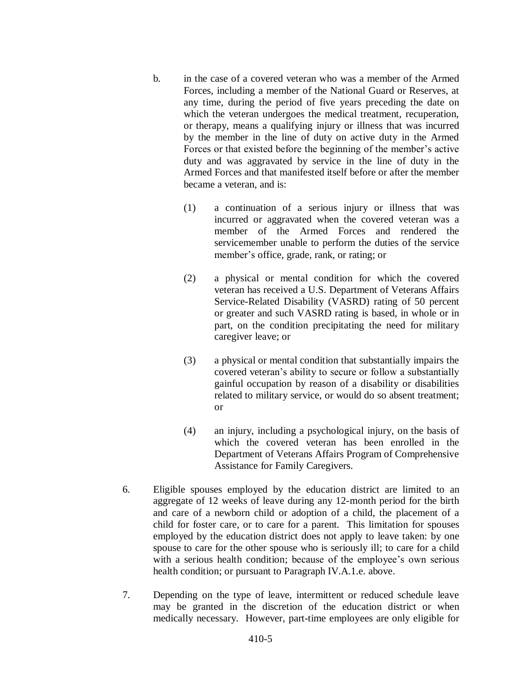- b. in the case of a covered veteran who was a member of the Armed Forces, including a member of the National Guard or Reserves, at any time, during the period of five years preceding the date on which the veteran undergoes the medical treatment, recuperation, or therapy, means a qualifying injury or illness that was incurred by the member in the line of duty on active duty in the Armed Forces or that existed before the beginning of the member's active duty and was aggravated by service in the line of duty in the Armed Forces and that manifested itself before or after the member became a veteran, and is:
	- (1) a continuation of a serious injury or illness that was incurred or aggravated when the covered veteran was a member of the Armed Forces and rendered the servicemember unable to perform the duties of the service member's office, grade, rank, or rating; or
	- (2) a physical or mental condition for which the covered veteran has received a U.S. Department of Veterans Affairs Service-Related Disability (VASRD) rating of 50 percent or greater and such VASRD rating is based, in whole or in part, on the condition precipitating the need for military caregiver leave; or
	- (3) a physical or mental condition that substantially impairs the covered veteran's ability to secure or follow a substantially gainful occupation by reason of a disability or disabilities related to military service, or would do so absent treatment; or
	- (4) an injury, including a psychological injury, on the basis of which the covered veteran has been enrolled in the Department of Veterans Affairs Program of Comprehensive Assistance for Family Caregivers.
- 6. Eligible spouses employed by the education district are limited to an aggregate of 12 weeks of leave during any 12-month period for the birth and care of a newborn child or adoption of a child, the placement of a child for foster care, or to care for a parent. This limitation for spouses employed by the education district does not apply to leave taken: by one spouse to care for the other spouse who is seriously ill; to care for a child with a serious health condition; because of the employee's own serious health condition; or pursuant to Paragraph IV.A.1.e. above.
- 7. Depending on the type of leave, intermittent or reduced schedule leave may be granted in the discretion of the education district or when medically necessary. However, part-time employees are only eligible for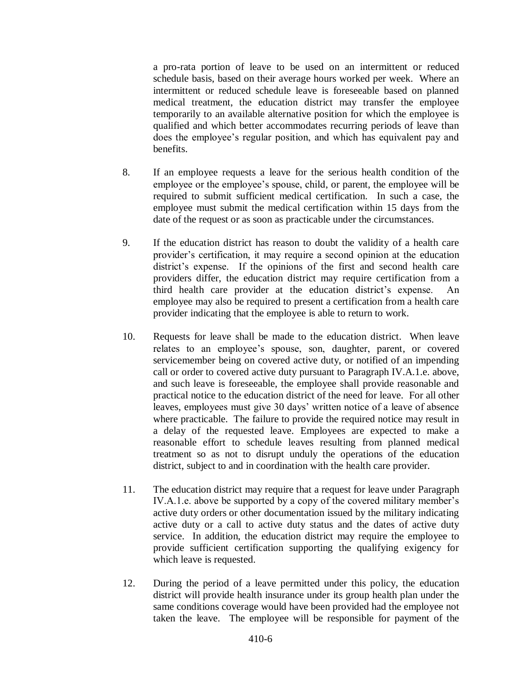a pro-rata portion of leave to be used on an intermittent or reduced schedule basis, based on their average hours worked per week. Where an intermittent or reduced schedule leave is foreseeable based on planned medical treatment, the education district may transfer the employee temporarily to an available alternative position for which the employee is qualified and which better accommodates recurring periods of leave than does the employee's regular position, and which has equivalent pay and benefits.

- 8. If an employee requests a leave for the serious health condition of the employee or the employee's spouse, child, or parent, the employee will be required to submit sufficient medical certification. In such a case, the employee must submit the medical certification within 15 days from the date of the request or as soon as practicable under the circumstances.
- 9. If the education district has reason to doubt the validity of a health care provider's certification, it may require a second opinion at the education district's expense. If the opinions of the first and second health care providers differ, the education district may require certification from a third health care provider at the education district's expense. An employee may also be required to present a certification from a health care provider indicating that the employee is able to return to work.
- 10. Requests for leave shall be made to the education district. When leave relates to an employee's spouse, son, daughter, parent, or covered servicemember being on covered active duty, or notified of an impending call or order to covered active duty pursuant to Paragraph IV.A.1.e. above, and such leave is foreseeable, the employee shall provide reasonable and practical notice to the education district of the need for leave. For all other leaves, employees must give 30 days' written notice of a leave of absence where practicable. The failure to provide the required notice may result in a delay of the requested leave. Employees are expected to make a reasonable effort to schedule leaves resulting from planned medical treatment so as not to disrupt unduly the operations of the education district, subject to and in coordination with the health care provider.
- 11. The education district may require that a request for leave under Paragraph IV.A.1.e. above be supported by a copy of the covered military member's active duty orders or other documentation issued by the military indicating active duty or a call to active duty status and the dates of active duty service. In addition, the education district may require the employee to provide sufficient certification supporting the qualifying exigency for which leave is requested.
- 12. During the period of a leave permitted under this policy, the education district will provide health insurance under its group health plan under the same conditions coverage would have been provided had the employee not taken the leave. The employee will be responsible for payment of the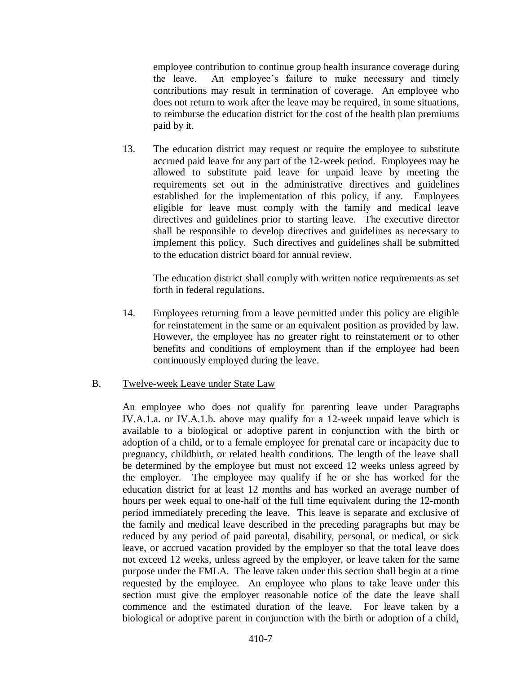employee contribution to continue group health insurance coverage during the leave. An employee's failure to make necessary and timely contributions may result in termination of coverage. An employee who does not return to work after the leave may be required, in some situations, to reimburse the education district for the cost of the health plan premiums paid by it.

13. The education district may request or require the employee to substitute accrued paid leave for any part of the 12-week period. Employees may be allowed to substitute paid leave for unpaid leave by meeting the requirements set out in the administrative directives and guidelines established for the implementation of this policy, if any. Employees eligible for leave must comply with the family and medical leave directives and guidelines prior to starting leave. The executive director shall be responsible to develop directives and guidelines as necessary to implement this policy. Such directives and guidelines shall be submitted to the education district board for annual review.

The education district shall comply with written notice requirements as set forth in federal regulations.

14. Employees returning from a leave permitted under this policy are eligible for reinstatement in the same or an equivalent position as provided by law. However, the employee has no greater right to reinstatement or to other benefits and conditions of employment than if the employee had been continuously employed during the leave.

#### B. Twelve-week Leave under State Law

An employee who does not qualify for parenting leave under Paragraphs IV.A.1.a. or IV.A.1.b. above may qualify for a 12-week unpaid leave which is available to a biological or adoptive parent in conjunction with the birth or adoption of a child, or to a female employee for prenatal care or incapacity due to pregnancy, childbirth, or related health conditions. The length of the leave shall be determined by the employee but must not exceed 12 weeks unless agreed by the employer. The employee may qualify if he or she has worked for the education district for at least 12 months and has worked an average number of hours per week equal to one-half of the full time equivalent during the 12-month period immediately preceding the leave. This leave is separate and exclusive of the family and medical leave described in the preceding paragraphs but may be reduced by any period of paid parental, disability, personal, or medical, or sick leave, or accrued vacation provided by the employer so that the total leave does not exceed 12 weeks, unless agreed by the employer, or leave taken for the same purpose under the FMLA. The leave taken under this section shall begin at a time requested by the employee. An employee who plans to take leave under this section must give the employer reasonable notice of the date the leave shall commence and the estimated duration of the leave. For leave taken by a biological or adoptive parent in conjunction with the birth or adoption of a child,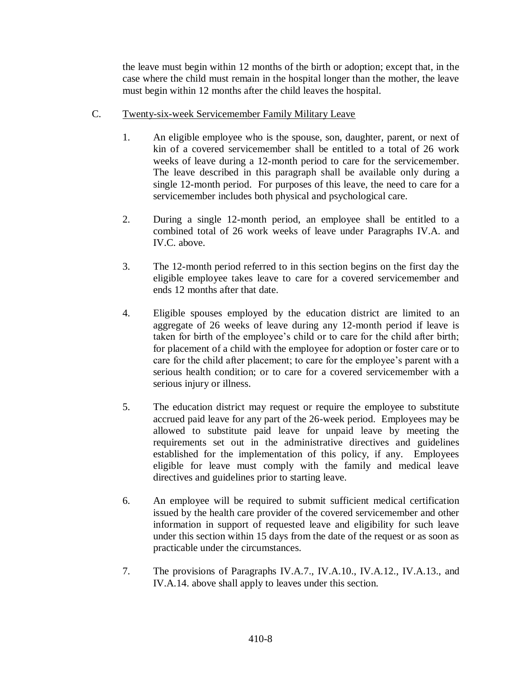the leave must begin within 12 months of the birth or adoption; except that, in the case where the child must remain in the hospital longer than the mother, the leave must begin within 12 months after the child leaves the hospital.

- C. Twenty-six-week Servicemember Family Military Leave
	- 1. An eligible employee who is the spouse, son, daughter, parent, or next of kin of a covered servicemember shall be entitled to a total of 26 work weeks of leave during a 12-month period to care for the servicemember. The leave described in this paragraph shall be available only during a single 12-month period. For purposes of this leave, the need to care for a servicemember includes both physical and psychological care.
	- 2. During a single 12-month period, an employee shall be entitled to a combined total of 26 work weeks of leave under Paragraphs IV.A. and IV.C. above.
	- 3. The 12-month period referred to in this section begins on the first day the eligible employee takes leave to care for a covered servicemember and ends 12 months after that date.
	- 4. Eligible spouses employed by the education district are limited to an aggregate of 26 weeks of leave during any 12-month period if leave is taken for birth of the employee's child or to care for the child after birth; for placement of a child with the employee for adoption or foster care or to care for the child after placement; to care for the employee's parent with a serious health condition; or to care for a covered servicemember with a serious injury or illness.
	- 5. The education district may request or require the employee to substitute accrued paid leave for any part of the 26-week period. Employees may be allowed to substitute paid leave for unpaid leave by meeting the requirements set out in the administrative directives and guidelines established for the implementation of this policy, if any. Employees eligible for leave must comply with the family and medical leave directives and guidelines prior to starting leave.
	- 6. An employee will be required to submit sufficient medical certification issued by the health care provider of the covered servicemember and other information in support of requested leave and eligibility for such leave under this section within 15 days from the date of the request or as soon as practicable under the circumstances.
	- 7. The provisions of Paragraphs IV.A.7., IV.A.10., IV.A.12., IV.A.13., and IV.A.14. above shall apply to leaves under this section.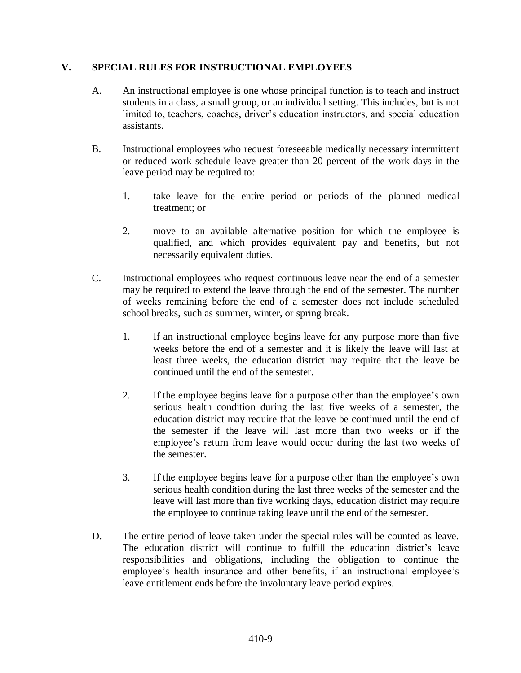# **V. SPECIAL RULES FOR INSTRUCTIONAL EMPLOYEES**

- A. An instructional employee is one whose principal function is to teach and instruct students in a class, a small group, or an individual setting. This includes, but is not limited to, teachers, coaches, driver's education instructors, and special education assistants.
- B. Instructional employees who request foreseeable medically necessary intermittent or reduced work schedule leave greater than 20 percent of the work days in the leave period may be required to:
	- 1. take leave for the entire period or periods of the planned medical treatment; or
	- 2. move to an available alternative position for which the employee is qualified, and which provides equivalent pay and benefits, but not necessarily equivalent duties.
- C. Instructional employees who request continuous leave near the end of a semester may be required to extend the leave through the end of the semester. The number of weeks remaining before the end of a semester does not include scheduled school breaks, such as summer, winter, or spring break.
	- 1. If an instructional employee begins leave for any purpose more than five weeks before the end of a semester and it is likely the leave will last at least three weeks, the education district may require that the leave be continued until the end of the semester.
	- 2. If the employee begins leave for a purpose other than the employee's own serious health condition during the last five weeks of a semester, the education district may require that the leave be continued until the end of the semester if the leave will last more than two weeks or if the employee's return from leave would occur during the last two weeks of the semester.
	- 3. If the employee begins leave for a purpose other than the employee's own serious health condition during the last three weeks of the semester and the leave will last more than five working days, education district may require the employee to continue taking leave until the end of the semester.
- D. The entire period of leave taken under the special rules will be counted as leave. The education district will continue to fulfill the education district's leave responsibilities and obligations, including the obligation to continue the employee's health insurance and other benefits, if an instructional employee's leave entitlement ends before the involuntary leave period expires.